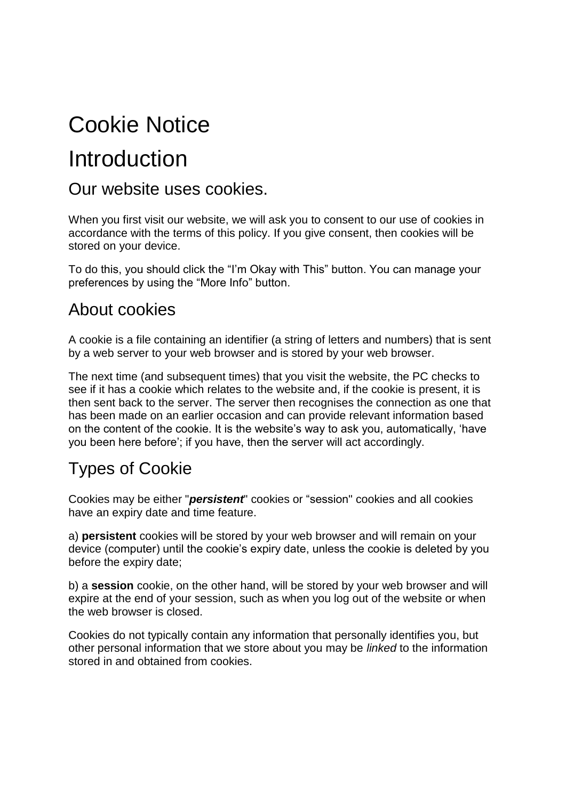# Cookie Notice

## Introduction

#### Our website uses cookies.

When you first visit our website, we will ask you to consent to our use of cookies in accordance with the terms of this policy. If you give consent, then cookies will be stored on your device.

To do this, you should click the "I'm Okay with This" button. You can manage your preferences by using the "More Info" button.

#### About cookies

A cookie is a file containing an identifier (a string of letters and numbers) that is sent by a web server to your web browser and is stored by your web browser.

The next time (and subsequent times) that you visit the website, the PC checks to see if it has a cookie which relates to the website and, if the cookie is present, it is then sent back to the server. The server then recognises the connection as one that has been made on an earlier occasion and can provide relevant information based on the content of the cookie. It is the website's way to ask you, automatically, 'have you been here before'; if you have, then the server will act accordingly.

### Types of Cookie

Cookies may be either "*persistent*" cookies or "session" cookies and all cookies have an expiry date and time feature.

a) **persistent** cookies will be stored by your web browser and will remain on your device (computer) until the cookie's expiry date, unless the cookie is deleted by you before the expiry date;

b) a **session** cookie, on the other hand, will be stored by your web browser and will expire at the end of your session, such as when you log out of the website or when the web browser is closed.

Cookies do not typically contain any information that personally identifies you, but other personal information that we store about you may be *linked* to the information stored in and obtained from cookies.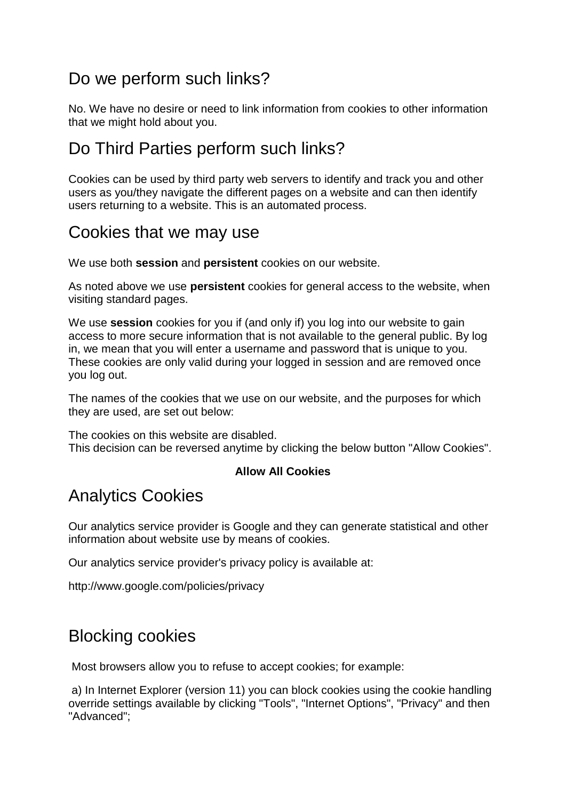### Do we perform such links?

No. We have no desire or need to link information from cookies to other information that we might hold about you.

#### Do Third Parties perform such links?

Cookies can be used by third party web servers to identify and track you and other users as you/they navigate the different pages on a website and can then identify users returning to a website. This is an automated process.

#### Cookies that we may use

We use both **session** and **persistent** cookies on our website.

As noted above we use **persistent** cookies for general access to the website, when visiting standard pages.

We use **session** cookies for you if (and only if) you log into our website to gain access to more secure information that is not available to the general public. By log in, we mean that you will enter a username and password that is unique to you. These cookies are only valid during your logged in session and are removed once you log out.

The names of the cookies that we use on our website, and the purposes for which they are used, are set out below:

The cookies on this website are disabled. This decision can be reversed anytime by clicking the below button "Allow Cookies".

#### **Allow All Cookies**

#### Analytics Cookies

Our analytics service provider is Google and they can generate statistical and other information about website use by means of cookies.

Our analytics service provider's privacy policy is available at:

<http://www.google.com/policies/privacy>

#### Blocking cookies

Most browsers allow you to refuse to accept cookies; for example:

a) In Internet Explorer (version 11) you can block cookies using the cookie handling override settings available by clicking "Tools", "Internet Options", "Privacy" and then "Advanced";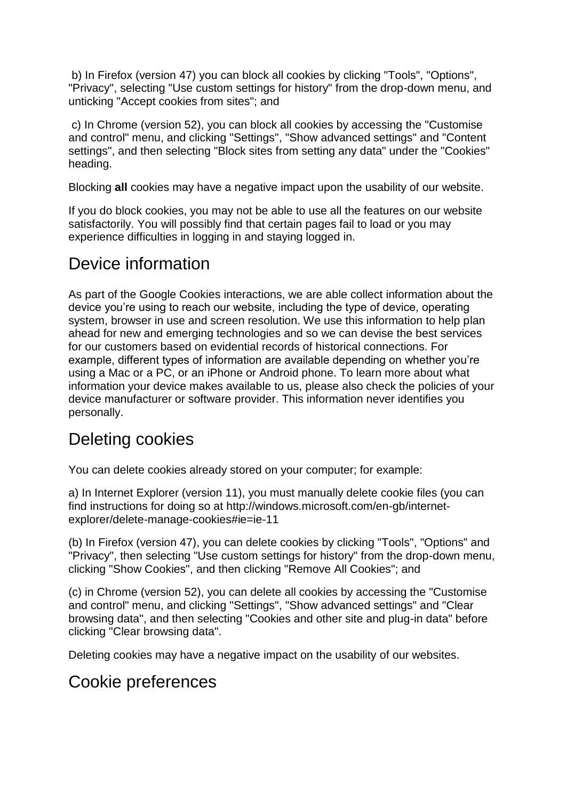b) In Firefox (version 47) you can block all cookies by clicking "Tools", "Options", "Privacy", selecting "Use custom settings for history" from the drop-down menu, and unticking "Accept cookies from sites"; and

c) In Chrome (version 52), you can block all cookies by accessing the "Customise and control" menu, and clicking "Settings", "Show advanced settings" and "Content settings", and then selecting "Block sites from setting any data" under the "Cookies" heading.

Blocking **all** cookies may have a negative impact upon the usability of our website.

If you do block cookies, you may not be able to use all the features on our website satisfactorily. You will possibly find that certain pages fail to load or you may experience difficulties in logging in and staying logged in.

#### Device information

As part of the Google Cookies interactions, we are able collect information about the device you're using to reach our website, including the type of device, operating system, browser in use and screen resolution. We use this information to help plan ahead for new and emerging technologies and so we can devise the best services for our customers based on evidential records of historical connections. For example, different types of information are available depending on whether you're using a Mac or a PC, or an iPhone or Android phone. To learn more about what information your device makes available to us, please also check the policies of your device manufacturer or software provider. This information never identifies you personally.

### Deleting cookies

You can delete cookies already stored on your computer; for example:

a) In Internet Explorer (version 11), you must manually delete cookie files (you can find instructions for doing so at [http://windows.microsoft.com/en-gb/internet](http://windows.microsoft.com/en-gb/internet-explorer/delete-manage-cookies#ie=ie-11)[explorer/delete-manage-cookies#ie=ie-11](http://windows.microsoft.com/en-gb/internet-explorer/delete-manage-cookies#ie=ie-11)

(b) In Firefox (version 47), you can delete cookies by clicking "Tools", "Options" and "Privacy", then selecting "Use custom settings for history" from the drop-down menu, clicking "Show Cookies", and then clicking "Remove All Cookies"; and

(c) in Chrome (version 52), you can delete all cookies by accessing the "Customise and control" menu, and clicking "Settings", "Show advanced settings" and "Clear browsing data", and then selecting "Cookies and other site and plug-in data" before clicking "Clear browsing data".

Deleting cookies may have a negative impact on the usability of our websites.

#### Cookie preferences